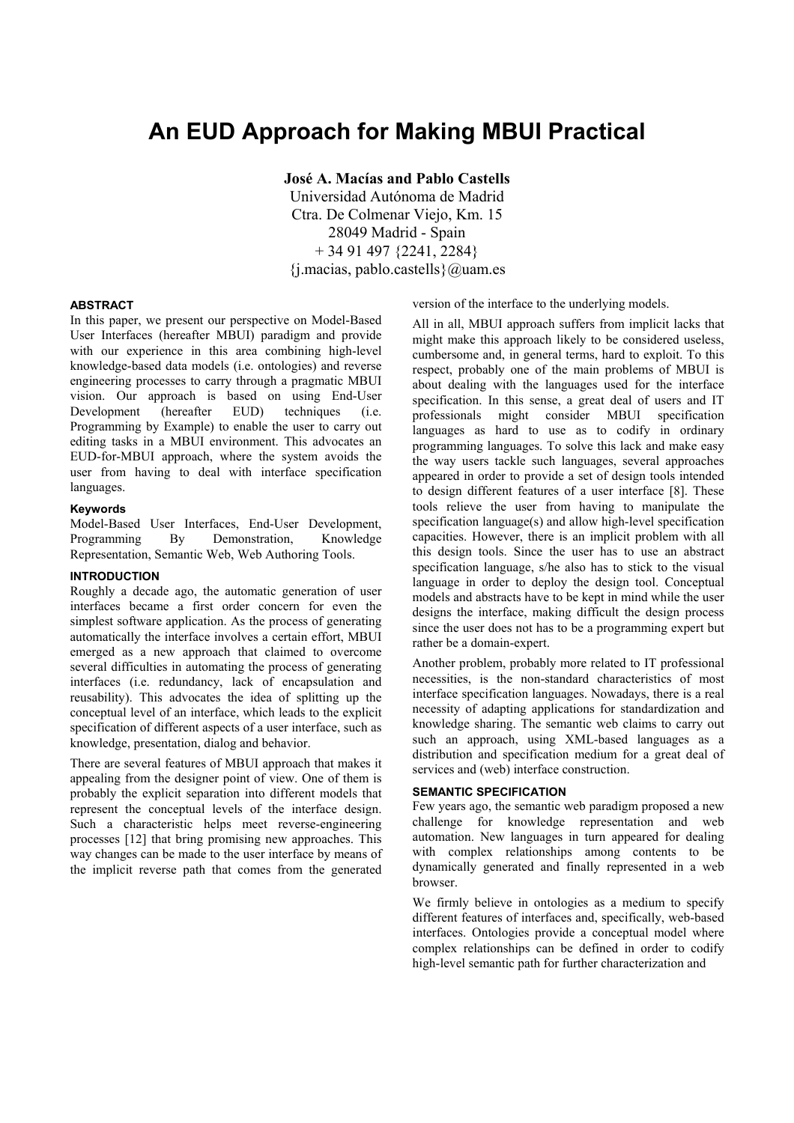# **An EUD Approach for Making MBUI Practical**

**José A. Macías and Pablo Castells** 

Universidad Autónoma de Madrid Ctra. De Colmenar Viejo, Km. 15 28049 Madrid - Spain + 34 91 497 {2241, 2284}  $\{j$ .macias, pablo.castells $\{a\}$ uam.es

#### **ABSTRACT**

In this paper, we present our perspective on Model-Based User Interfaces (hereafter MBUI) paradigm and provide with our experience in this area combining high-level knowledge-based data models (i.e. ontologies) and reverse engineering processes to carry through a pragmatic MBUI vision. Our approach is based on using End-User Development (hereafter EUD) techniques (i.e. Programming by Example) to enable the user to carry out editing tasks in a MBUI environment. This advocates an EUD-for-MBUI approach, where the system avoids the user from having to deal with interface specification languages.

#### **Keywords**

Model-Based User Interfaces, End-User Development, Programming By Demonstration. Knowledge Representation, Semantic Web, Web Authoring Tools.

## **INTRODUCTION**

Roughly a decade ago, the automatic generation of user interfaces became a first order concern for even the simplest software application. As the process of generating automatically the interface involves a certain effort, MBUI emerged as a new approach that claimed to overcome several difficulties in automating the process of generating interfaces (i.e. redundancy, lack of encapsulation and reusability). This advocates the idea of splitting up the conceptual level of an interface, which leads to the explicit specification of different aspects of a user interface, such as knowledge, presentation, dialog and behavior.

There are several features of MBUI approach that makes it appealing from the designer point of view. One of them is probably the explicit separation into different models that represent the conceptual levels of the interface design. Such a characteristic helps meet reverse-engineering processes [12] that bring promising new approaches. This way changes can be made to the user interface by means of the implicit reverse path that comes from the generated version of the interface to the underlying models.

All in all, MBUI approach suffers from implicit lacks that might make this approach likely to be considered useless, cumbersome and, in general terms, hard to exploit. To this respect, probably one of the main problems of MBUI is about dealing with the languages used for the interface specification. In this sense, a great deal of users and IT professionals might consider MBUI specification languages as hard to use as to codify in ordinary programming languages. To solve this lack and make easy the way users tackle such languages, several approaches appeared in order to provide a set of design tools intended to design different features of a user interface [8]. These tools relieve the user from having to manipulate the specification language(s) and allow high-level specification capacities. However, there is an implicit problem with all this design tools. Since the user has to use an abstract specification language, s/he also has to stick to the visual language in order to deploy the design tool. Conceptual models and abstracts have to be kept in mind while the user designs the interface, making difficult the design process since the user does not has to be a programming expert but rather be a domain-expert.

Another problem, probably more related to IT professional necessities, is the non-standard characteristics of most interface specification languages. Nowadays, there is a real necessity of adapting applications for standardization and knowledge sharing. The semantic web claims to carry out such an approach, using XML-based languages as a distribution and specification medium for a great deal of services and (web) interface construction.

## **SEMANTIC SPECIFICATION**

Few years ago, the semantic web paradigm proposed a new challenge for knowledge representation and web automation. New languages in turn appeared for dealing with complex relationships among contents to be dynamically generated and finally represented in a web browser.

We firmly believe in ontologies as a medium to specify different features of interfaces and, specifically, web-based interfaces. Ontologies provide a conceptual model where complex relationships can be defined in order to codify high-level semantic path for further characterization and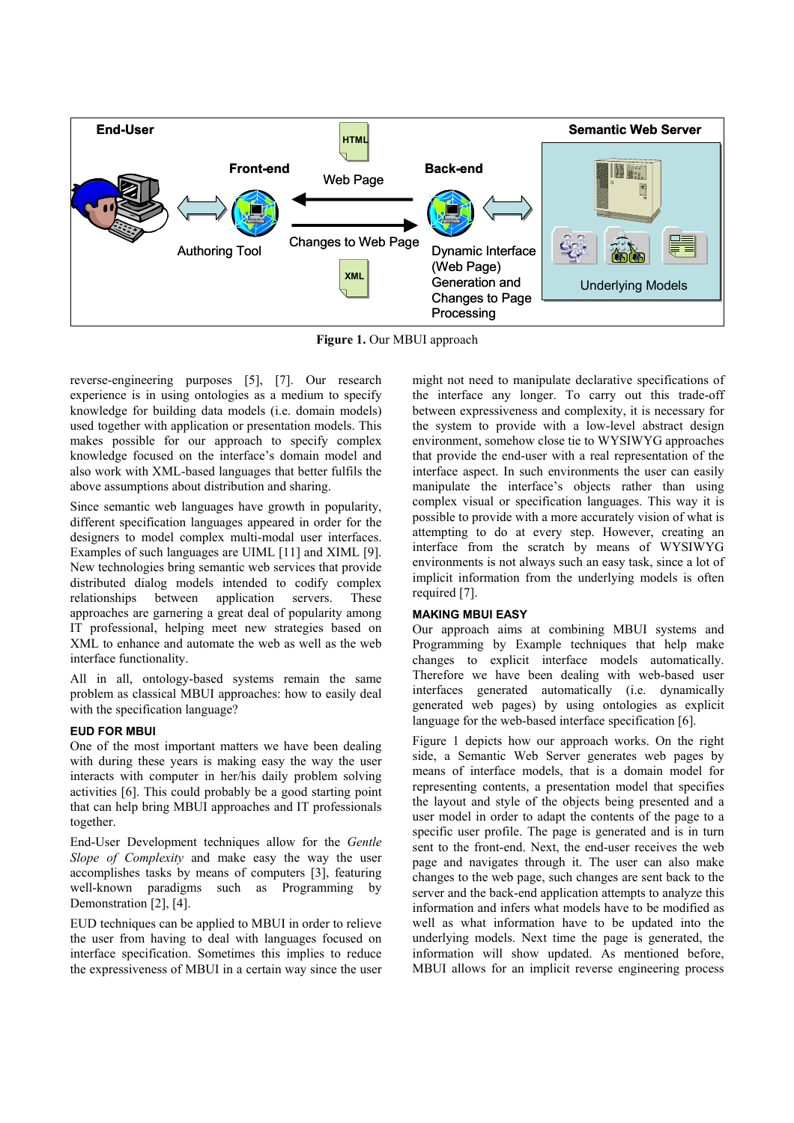

**Figure 1.** Our MBUI approach

reverse-engineering purposes [5], [7]. Our research experience is in using ontologies as a medium to specify knowledge for building data models (i.e. domain models) used together with application or presentation models. This makes possible for our approach to specify complex knowledge focused on the interface's domain model and also work with XML-based languages that better fulfils the above assumptions about distribution and sharing.

Since semantic web languages have growth in popularity, different specification languages appeared in order for the designers to model complex multi-modal user interfaces. Examples of such languages are UIML [11] and XIML [9]. New technologies bring semantic web services that provide distributed dialog models intended to codify complex relationships between application servers. These approaches are garnering a great deal of popularity among IT professional, helping meet new strategies based on XML to enhance and automate the web as well as the web interface functionality.

All in all, ontology-based systems remain the same problem as classical MBUI approaches: how to easily deal with the specification language?

# **EUD FOR MBUI**

One of the most important matters we have been dealing with during these years is making easy the way the user interacts with computer in her/his daily problem solving activities [6]. This could probably be a good starting point that can help bring MBUI approaches and IT professionals together.

End-User Development techniques allow for the *Gentle Slope of Complexity* and make easy the way the user accomplishes tasks by means of computers [3], featuring well-known paradigms such as Programming by Demonstration [2], [4].

EUD techniques can be applied to MBUI in order to relieve the user from having to deal with languages focused on interface specification. Sometimes this implies to reduce the expressiveness of MBUI in a certain way since the user

might not need to manipulate declarative specifications of the interface any longer. To carry out this trade-off between expressiveness and complexity, it is necessary for the system to provide with a low-level abstract design environment, somehow close tie to WYSIWYG approaches that provide the end-user with a real representation of the interface aspect. In such environments the user can easily manipulate the interface's objects rather than using complex visual or specification languages. This way it is possible to provide with a more accurately vision of what is attempting to do at every step. However, creating an interface from the scratch by means of WYSIWYG environments is not always such an easy task, since a lot of implicit information from the underlying models is often required [7].

## **MAKING MBUI EASY**

Our approach aims at combining MBUI systems and Programming by Example techniques that help make changes to explicit interface models automatically. Therefore we have been dealing with web-based user interfaces generated automatically (i.e. dynamically generated web pages) by using ontologies as explicit language for the web-based interface specification [6].

Figure 1 depicts how our approach works. On the right side, a Semantic Web Server generates web pages by means of interface models, that is a domain model for representing contents, a presentation model that specifies the layout and style of the objects being presented and a user model in order to adapt the contents of the page to a specific user profile. The page is generated and is in turn sent to the front-end. Next, the end-user receives the web page and navigates through it. The user can also make changes to the web page, such changes are sent back to the server and the back-end application attempts to analyze this information and infers what models have to be modified as well as what information have to be updated into the underlying models. Next time the page is generated, the information will show updated. As mentioned before, MBUI allows for an implicit reverse engineering process